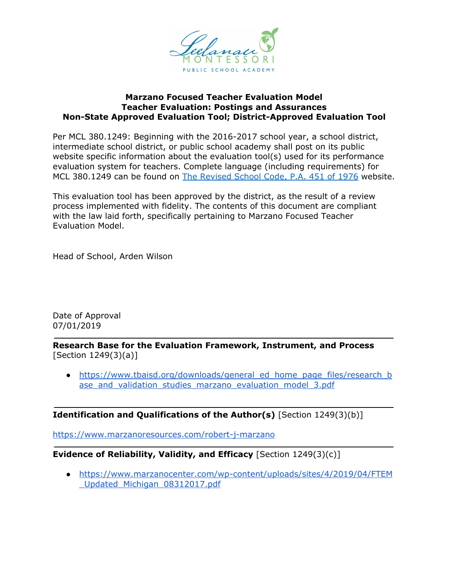

## **Marzano Focused Teacher Evaluation Model Teacher Evaluation: Postings and Assurances Non-State Approved Evaluation Tool; District-Approved Evaluation Tool**

Per MCL 380.1249: Beginning with the 2016-2017 school year, a school district, intermediate school district, or public school academy shall post on its public website specific information about the evaluation tool(s) used for its performance evaluation system for teachers. Complete language (including requirements) for MCL 380.1249 can be found on The [Revised](http://www.legislature.mi.gov/(S(32tvwj0iraifdaezo3vyv3uy))/mileg.aspx?page=getObject&objectName=mcl-380-1249) School Code, P.A. 451 of 1976 website.

This evaluation tool has been approved by the district, as the result of a review process implemented with fidelity. The contents of this document are compliant with the law laid forth, specifically pertaining to Marzano Focused Teacher Evaluation Model.

Head of School, Arden Wilson

Date of Approval 07/01/2019

**Research Base for the Evaluation Framework, Instrument, and Process** [Section 1249(3)(a)]

• [https://www.tbaisd.org/downloads/general\\_ed\\_home\\_page\\_files/research\\_b](https://www.tbaisd.org/downloads/general_ed_home_page_files/research_base_and_validation_studies_marzano_evaluation_model_3.pdf) ase and validation studies marzano evaluation model 3.pdf

**Identification and Qualifications of the Author(s)** [Section 1249(3)(b)]

<https://www.marzanoresources.com/robert-j-marzano>

## **Evidence of Reliability, Validity, and Efficacy** [Section 1249(3)(c)]

● [https://www.marzanocenter.com/wp-content/uploads/sites/4/2019/04/FTEM](https://www.marzanocenter.com/wp-content/uploads/sites/4/2019/04/FTEM_Updated_Michigan_08312017.pdf) [\\_Updated\\_Michigan\\_08312017.pdf](https://www.marzanocenter.com/wp-content/uploads/sites/4/2019/04/FTEM_Updated_Michigan_08312017.pdf)